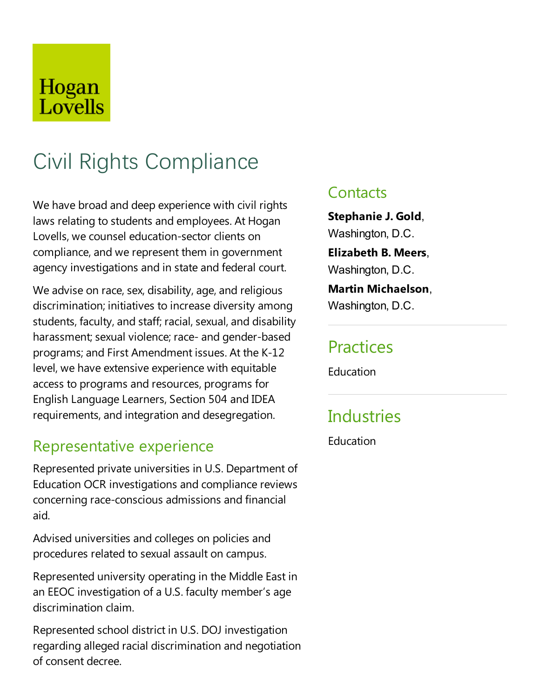# Hogan Lovells

# Civil Rights Compliance

We have broad and deep experience with civil rights laws relating to students and employees. At Hogan Lovells, we counsel education-sector clients on compliance, and we represent them in government agency investigations and in state and federal court.

We advise on race, sex, disability, age, and religious discrimination; initiatives to increase diversity among students, faculty, and staff; racial, sexual, and disability harassment; sexual violence; race-and gender-based programs; and First Amendment issues. At the K-12 level, we have extensive experience with equitable access to programs and resources, programs for English Language Learners, Section 504 and IDEA requirements, and integration and desegregation.

### Representative experience

Represented private universities in U.S. Department of Education OCR investigations and compliance reviews concerning race-conscious admissions and financial aid.

Advised universities and colleges on policies and procedures related to sexual assault on campus.

Represented university operating in the Middle East in an EEOC investigation of a U.S. faculty member's age discrimination claim.

Represented school district in U.S. DOJ investigation regarding alleged racial discrimination and negotiation of consent decree.

### **Contacts**

**Stephanie J. Gold**, Washington, D.C. **Elizabeth B. Meers**, Washington, D.C. **Martin Michaelson**,

Washington, D.C.

### **Practices**

**Education** 

# **Industries**

**Education**